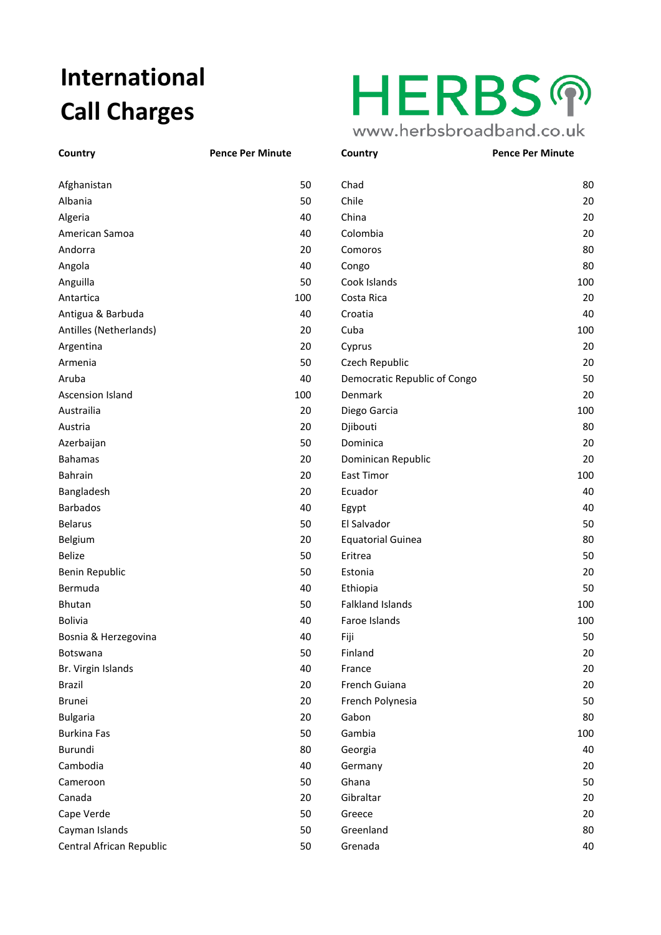## **International Call Charges**

| Afghanistan              | 50  | Chad                         | 80  |
|--------------------------|-----|------------------------------|-----|
| Albania                  | 50  | Chile                        | 20  |
| Algeria                  | 40  | China                        | 20  |
| American Samoa           | 40  | Colombia                     | 20  |
| Andorra                  | 20  | Comoros                      | 80  |
| Angola                   | 40  | Congo                        | 80  |
| Anguilla                 | 50  | Cook Islands                 | 100 |
| Antartica                | 100 | Costa Rica                   | 20  |
| Antigua & Barbuda        | 40  | Croatia                      | 40  |
| Antilles (Netherlands)   | 20  | Cuba                         | 100 |
| Argentina                | 20  | Cyprus                       | 20  |
| Armenia                  | 50  | Czech Republic               | 20  |
| Aruba                    | 40  | Democratic Republic of Congo | 50  |
| <b>Ascension Island</b>  | 100 | Denmark                      | 20  |
| Austrailia               | 20  | Diego Garcia                 | 100 |
| Austria                  | 20  | Djibouti                     | 80  |
| Azerbaijan               | 50  | Dominica                     | 20  |
| <b>Bahamas</b>           | 20  | Dominican Republic           | 20  |
| Bahrain                  | 20  | East Timor                   | 100 |
| Bangladesh               | 20  | Ecuador                      | 40  |
| <b>Barbados</b>          | 40  | Egypt                        | 40  |
| <b>Belarus</b>           | 50  | El Salvador                  | 50  |
| Belgium                  | 20  | <b>Equatorial Guinea</b>     | 80  |
| <b>Belize</b>            | 50  | Eritrea                      | 50  |
| Benin Republic           | 50  | Estonia                      | 20  |
| Bermuda                  | 40  | Ethiopia                     | 50  |
| Bhutan                   | 50  | <b>Falkland Islands</b>      | 100 |
| <b>Bolivia</b>           | 40  | Faroe Islands                | 100 |
| Bosnia & Herzegovina     | 40  | Fiji                         | 50  |
| Botswana                 | 50  | Finland                      | 20  |
| Br. Virgin Islands       | 40  | France                       | 20  |
| <b>Brazil</b>            | 20  | French Guiana                | 20  |
| Brunei                   | 20  | French Polynesia             | 50  |
| <b>Bulgaria</b>          | 20  | Gabon                        | 80  |
| <b>Burkina Fas</b>       | 50  | Gambia                       | 100 |
| Burundi                  | 80  | Georgia                      | 40  |
| Cambodia                 | 40  | Germany                      | 20  |
| Cameroon                 | 50  | Ghana                        | 50  |
| Canada                   | 20  | Gibraltar                    | 20  |
| Cape Verde               | 50  | Greece                       | 20  |
| Cayman Islands           | 50  | Greenland                    | 80  |
| Central African Republic | 50  | Grenada                      | 40  |
|                          |     |                              |     |

## **HERBSの** www.herbsbroadband.co.uk

**Country Pence Per Minute Country Pence Per Minute Czech Republic** 20 Democratic Republic of Congo 50 **Dominican Republic 20 Dominican 20 Equatorial Guinea 60 Equatorial Guinea** Falkland Islands 100 **French Guiana** 20 **Brunch Polynesia** 50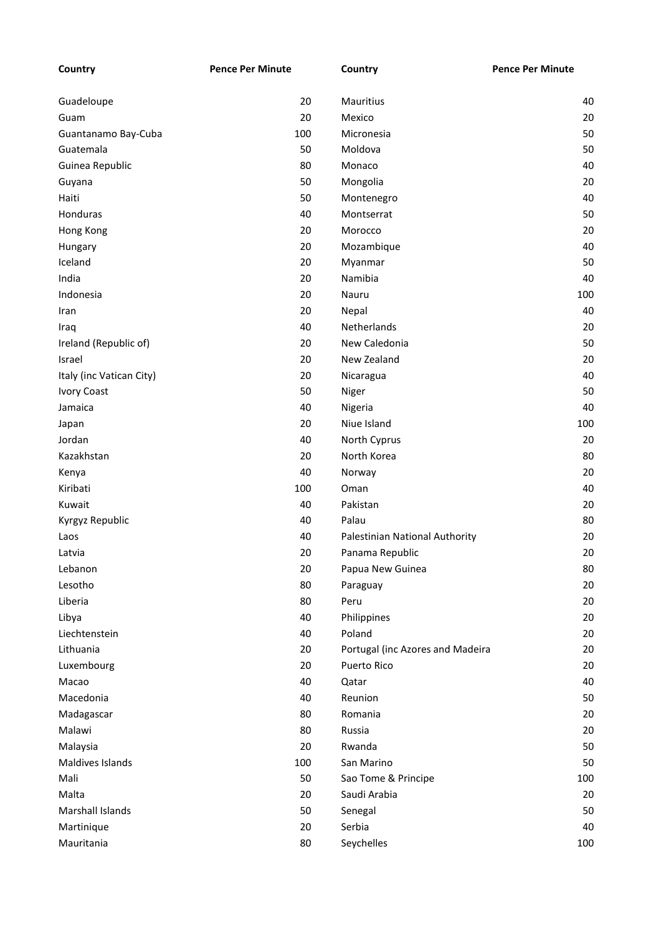| Country                  | <b>Pence Per Minute</b> | Country                          | <b>Pence Per Minute</b> |
|--------------------------|-------------------------|----------------------------------|-------------------------|
|                          |                         |                                  |                         |
| Guadeloupe               | 20                      | Mauritius                        | 40                      |
| Guam                     | 20                      | Mexico                           | 20                      |
| Guantanamo Bay-Cuba      | 100                     | Micronesia                       | 50                      |
| Guatemala                | 50                      | Moldova                          | 50                      |
| Guinea Republic          | 80                      | Monaco                           | 40                      |
| Guyana                   | 50                      | Mongolia                         | 20                      |
| Haiti                    | 50                      | Montenegro                       | 40                      |
| Honduras                 | 40                      | Montserrat                       | 50                      |
| Hong Kong                | 20                      | Morocco                          | 20                      |
| Hungary                  | 20                      | Mozambique                       | 40                      |
| Iceland                  | 20                      | Myanmar                          | 50                      |
| India                    | 20                      | Namibia                          | 40                      |
| Indonesia                | 20                      | Nauru                            | 100                     |
| Iran                     | 20                      | Nepal                            | 40                      |
| Iraq                     | 40                      | <b>Netherlands</b>               | 20                      |
| Ireland (Republic of)    | 20                      | New Caledonia                    | 50                      |
| Israel                   | 20                      | New Zealand                      | 20                      |
| Italy (inc Vatican City) | 20                      | Nicaragua                        | 40                      |
| <b>Ivory Coast</b>       | 50                      | Niger                            | 50                      |
| Jamaica                  | 40                      | Nigeria                          | 40                      |
| Japan                    | 20                      | Niue Island                      | 100                     |
| Jordan                   | 40                      | North Cyprus                     | 20                      |
| Kazakhstan               | 20                      | North Korea                      | 80                      |
| Kenya                    | 40                      | Norway                           | 20                      |
| Kiribati                 | 100                     | Oman                             | 40                      |
| Kuwait                   | 40                      | Pakistan                         | 20                      |
| Kyrgyz Republic          | 40                      | Palau                            | 80                      |
| Laos                     | 40                      | Palestinian National Authority   | 20                      |
| Latvia                   | 20                      | Panama Republic                  | 20                      |
| Lebanon                  | 20                      | Papua New Guinea                 | 80                      |
| Lesotho                  | 80                      | Paraguay                         | 20                      |
| Liberia                  | 80                      | Peru                             | 20                      |
| Libya                    | 40                      | Philippines                      | 20                      |
| Liechtenstein            | 40                      | Poland                           | 20                      |
| Lithuania                | 20                      | Portugal (inc Azores and Madeira | 20                      |
| Luxembourg               | 20                      | Puerto Rico                      | 20                      |
| Macao                    | 40                      | Qatar                            | 40                      |
| Macedonia                | 40                      | Reunion                          | 50                      |
| Madagascar               | 80                      | Romania                          | 20                      |
| Malawi                   | 80                      | Russia                           | 20                      |
| Malaysia                 | 20                      | Rwanda                           | 50                      |
| Maldives Islands         | 100                     | San Marino                       | 50                      |
| Mali                     | 50                      | Sao Tome & Principe              | 100                     |
| Malta                    | 20                      | Saudi Arabia                     | 20                      |
| Marshall Islands         | 50                      | Senegal                          | 50                      |
| Martinique               | 20                      | Serbia                           | 40                      |
| Mauritania               | 80                      | Seychelles                       | 100                     |
|                          |                         |                                  |                         |